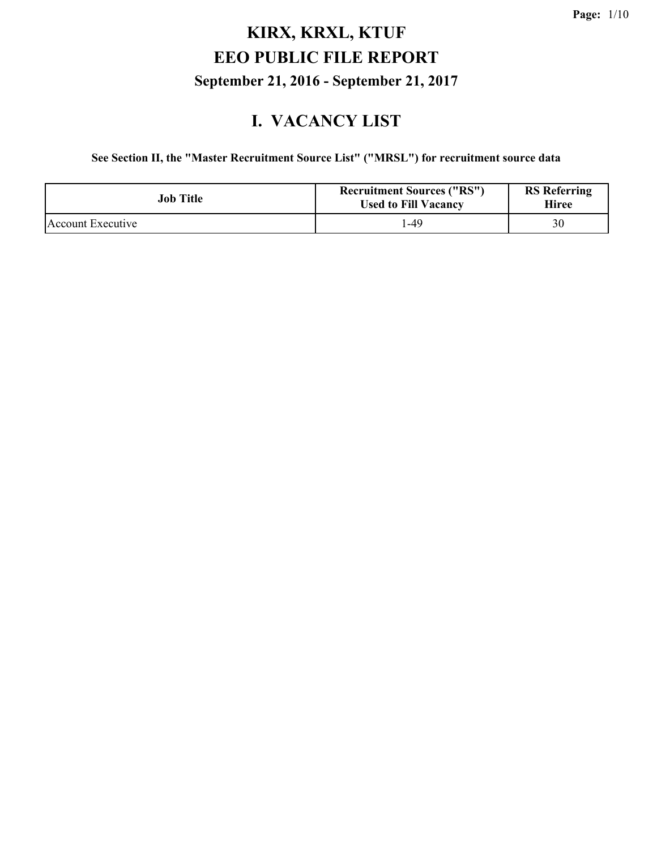#### **I. VACANCY LIST**

**See Section II, the "Master Recruitment Source List" ("MRSL") for recruitment source data**

| Job Title         | <b>Recruitment Sources ("RS")</b><br><b>Used to Fill Vacancy</b> | <b>RS</b> Referring<br>Hiree |
|-------------------|------------------------------------------------------------------|------------------------------|
| Account Executive | $-49$                                                            | 30                           |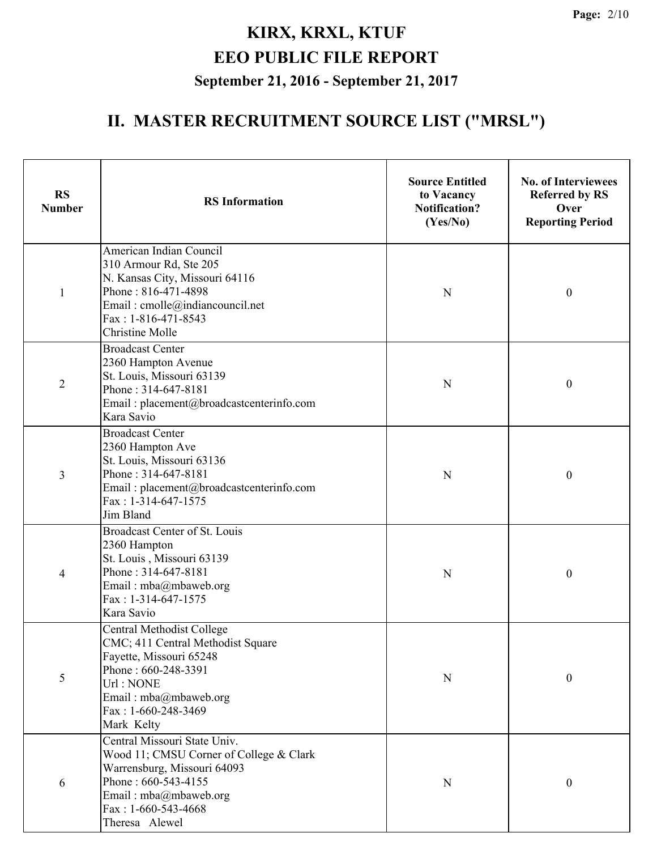| <b>RS</b><br><b>Number</b> | <b>RS</b> Information                                                                                                                                                                              | <b>Source Entitled</b><br>to Vacancy<br><b>Notification?</b><br>(Yes/No) | <b>No. of Interviewees</b><br><b>Referred by RS</b><br>Over<br><b>Reporting Period</b> |
|----------------------------|----------------------------------------------------------------------------------------------------------------------------------------------------------------------------------------------------|--------------------------------------------------------------------------|----------------------------------------------------------------------------------------|
| $\mathbf{1}$               | American Indian Council<br>310 Armour Rd, Ste 205<br>N. Kansas City, Missouri 64116<br>Phone: 816-471-4898<br>Email: cmolle@indiancouncil.net<br>Fax: 1-816-471-8543<br><b>Christine Molle</b>     | N                                                                        | $\boldsymbol{0}$                                                                       |
| $\overline{2}$             | <b>Broadcast Center</b><br>2360 Hampton Avenue<br>St. Louis, Missouri 63139<br>Phone: 314-647-8181<br>Email: placement@broadcastcenterinfo.com<br>Kara Savio                                       | $\mathbf N$                                                              | $\boldsymbol{0}$                                                                       |
| $\overline{3}$             | <b>Broadcast Center</b><br>2360 Hampton Ave<br>St. Louis, Missouri 63136<br>Phone: 314-647-8181<br>Email: placement@broadcastcenterinfo.com<br>Fax: 1-314-647-1575<br>Jim Bland                    | N                                                                        | $\boldsymbol{0}$                                                                       |
| 4                          | Broadcast Center of St. Louis<br>2360 Hampton<br>St. Louis, Missouri 63139<br>Phone: 314-647-8181<br>Email: mba@mbaweb.org<br>Fax: 1-314-647-1575<br>Kara Savio                                    | N                                                                        | $\boldsymbol{0}$                                                                       |
| 5                          | <b>Central Methodist College</b><br>CMC; 411 Central Methodist Square<br>Fayette, Missouri 65248<br>Phone: 660-248-3391<br>Url: NONE<br>Email: mba@mbaweb.org<br>Fax: 1-660-248-3469<br>Mark Kelty | ${\bf N}$                                                                | 0                                                                                      |
| 6                          | Central Missouri State Univ.<br>Wood 11; CMSU Corner of College & Clark<br>Warrensburg, Missouri 64093<br>Phone: 660-543-4155<br>Email: mba@mbaweb.org<br>Fax: $1-660-543-4668$<br>Theresa Alewel  | ${\bf N}$                                                                | $\boldsymbol{0}$                                                                       |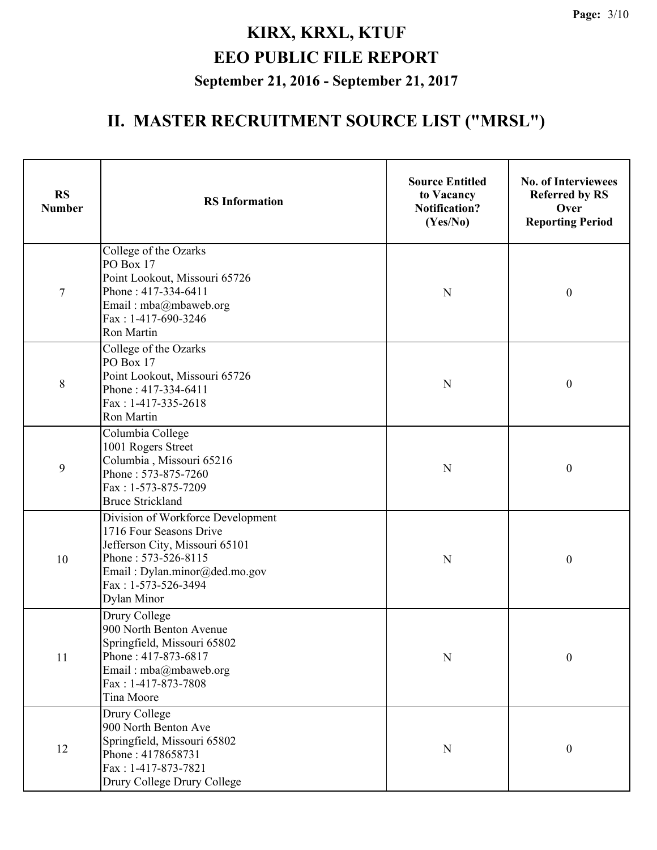| <b>RS</b><br><b>Number</b> | <b>RS</b> Information                                                                                                                                                                               | <b>Source Entitled</b><br>to Vacancy<br><b>Notification?</b><br>(Yes/No) | <b>No. of Interviewees</b><br><b>Referred by RS</b><br>Over<br><b>Reporting Period</b> |  |
|----------------------------|-----------------------------------------------------------------------------------------------------------------------------------------------------------------------------------------------------|--------------------------------------------------------------------------|----------------------------------------------------------------------------------------|--|
| $\tau$                     | College of the Ozarks<br>PO Box 17<br>Point Lookout, Missouri 65726<br>Phone: 417-334-6411<br>Email: mba@mbaweb.org<br>Fax: 1-417-690-3246<br>Ron Martin                                            | N                                                                        | $\boldsymbol{0}$                                                                       |  |
| 8                          | College of the Ozarks<br>PO Box 17<br>Point Lookout, Missouri 65726<br>Phone: 417-334-6411<br>Fax: 1-417-335-2618<br>Ron Martin                                                                     | N                                                                        | $\boldsymbol{0}$                                                                       |  |
| 9                          | Columbia College<br>1001 Rogers Street<br>Columbia, Missouri 65216<br>Phone: 573-875-7260<br>Fax: 1-573-875-7209<br><b>Bruce Strickland</b>                                                         | N                                                                        | $\boldsymbol{0}$                                                                       |  |
| 10                         | Division of Workforce Development<br>1716 Four Seasons Drive<br>Jefferson City, Missouri 65101<br>Phone: 573-526-8115<br>Email: Dylan.minor@ded.mo.gov<br>Fax: 1-573-526-3494<br><b>Dylan Minor</b> | N                                                                        | $\boldsymbol{0}$                                                                       |  |
| 11                         | Drury College<br>900 North Benton Avenue<br>Springfield, Missouri 65802<br>Phone: 417-873-6817<br>Email: mba@mbaweb.org<br>Fax: 1-417-873-7808<br>Tina Moore                                        | $\mathbf N$                                                              | $\boldsymbol{0}$                                                                       |  |
| 12                         | Drury College<br>900 North Benton Ave<br>Springfield, Missouri 65802<br>Phone: 4178658731<br>Fax: 1-417-873-7821<br>Drury College Drury College                                                     | $\mathbf N$                                                              | $\boldsymbol{0}$                                                                       |  |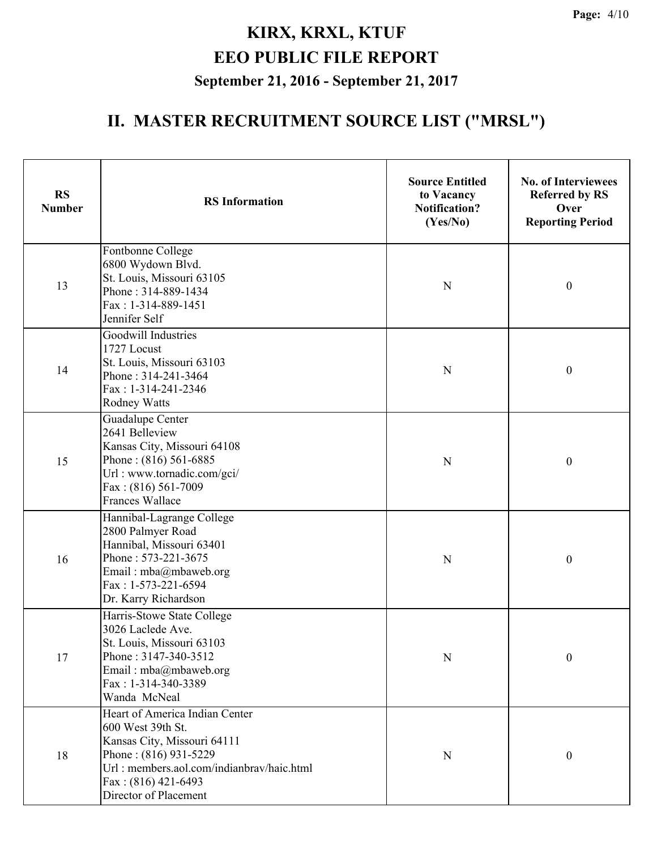| <b>RS</b><br><b>Number</b> | <b>RS</b> Information                                                                                                                                                                                      | <b>Source Entitled</b><br>to Vacancy<br><b>Notification?</b><br>(Yes/No) | <b>No. of Interviewees</b><br><b>Referred by RS</b><br>Over<br><b>Reporting Period</b> |
|----------------------------|------------------------------------------------------------------------------------------------------------------------------------------------------------------------------------------------------------|--------------------------------------------------------------------------|----------------------------------------------------------------------------------------|
| 13                         | Fontbonne College<br>6800 Wydown Blvd.<br>St. Louis, Missouri 63105<br>Phone: 314-889-1434<br>Fax: 1-314-889-1451<br>Jennifer Self                                                                         | N                                                                        | $\boldsymbol{0}$                                                                       |
| 14                         | Goodwill Industries<br>1727 Locust<br>St. Louis, Missouri 63103<br>Phone: 314-241-3464<br>Fax: 1-314-241-2346<br><b>Rodney Watts</b>                                                                       | N                                                                        | $\boldsymbol{0}$                                                                       |
| 15                         | Guadalupe Center<br>2641 Belleview<br>Kansas City, Missouri 64108<br>Phone: (816) 561-6885<br>Url: www.tornadic.com/gci/<br>Fax: (816) 561-7009<br><b>Frances Wallace</b>                                  | N                                                                        | $\boldsymbol{0}$                                                                       |
| 16                         | Hannibal-Lagrange College<br>2800 Palmyer Road<br>Hannibal, Missouri 63401<br>Phone: 573-221-3675<br>Email: mba@mbaweb.org<br>Fax: 1-573-221-6594<br>Dr. Karry Richardson                                  | $\mathbf N$                                                              | $\boldsymbol{0}$                                                                       |
| 17                         | Harris-Stowe State College<br>3026 Laclede Ave.<br>St. Louis, Missouri 63103<br>Phone: 3147-340-3512<br>Email: mba@mbaweb.org<br>Fax: 1-314-340-3389<br>Wanda McNeal                                       | N                                                                        | $\boldsymbol{0}$                                                                       |
| 18                         | Heart of America Indian Center<br>600 West 39th St.<br>Kansas City, Missouri 64111<br>Phone: (816) 931-5229<br>Url: members.aol.com/indianbrav/haic.html<br>Fax: $(816)$ 421-6493<br>Director of Placement | N                                                                        | $\mathbf{0}$                                                                           |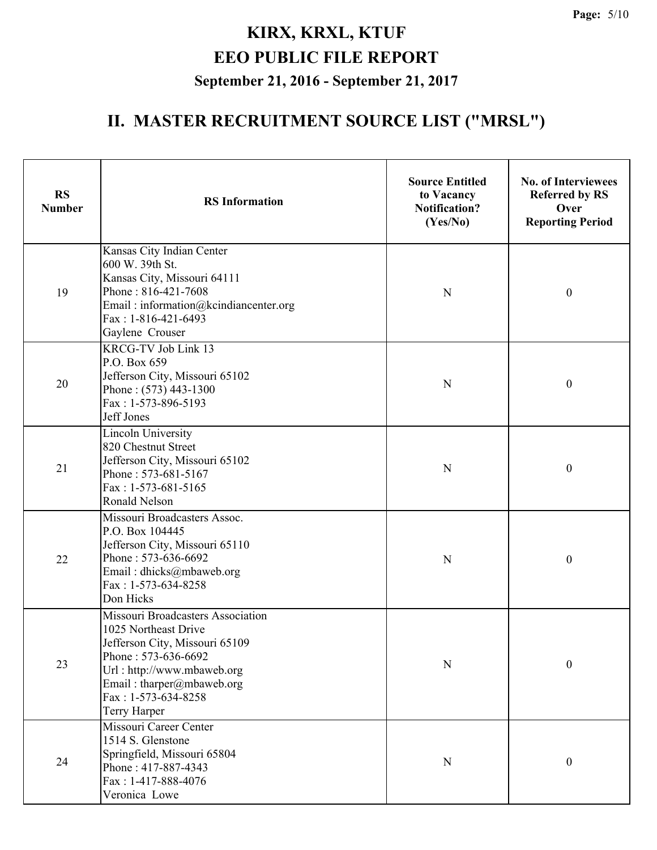| <b>RS</b><br><b>Number</b> | <b>RS</b> Information                                                                                                                                                                                                  | <b>Source Entitled</b><br>to Vacancy<br><b>Notification?</b><br>(Yes/No) | <b>No. of Interviewees</b><br><b>Referred by RS</b><br>Over<br><b>Reporting Period</b> |
|----------------------------|------------------------------------------------------------------------------------------------------------------------------------------------------------------------------------------------------------------------|--------------------------------------------------------------------------|----------------------------------------------------------------------------------------|
| 19                         | Kansas City Indian Center<br>600 W. 39th St.<br>Kansas City, Missouri 64111<br>Phone: 816-421-7608<br>Email: information@kcindiancenter.org<br>Fax: 1-816-421-6493<br>Gaylene Crouser                                  | N                                                                        | $\boldsymbol{0}$                                                                       |
| 20                         | KRCG-TV Job Link 13<br>P.O. Box 659<br>Jefferson City, Missouri 65102<br>Phone: (573) 443-1300<br>Fax: 1-573-896-5193<br>Jeff Jones                                                                                    | N                                                                        | $\boldsymbol{0}$                                                                       |
| 21                         | <b>Lincoln University</b><br>820 Chestnut Street<br>Jefferson City, Missouri 65102<br>Phone: 573-681-5167<br>Fax: $1-573-681-5165$<br>Ronald Nelson                                                                    | N                                                                        | $\mathbf{0}$                                                                           |
| 22                         | Missouri Broadcasters Assoc.<br>P.O. Box 104445<br>Jefferson City, Missouri 65110<br>Phone: 573-636-6692<br>Email: dhicks@mbaweb.org<br>Fax: 1-573-634-8258<br>Don Hicks                                               | N                                                                        | $\boldsymbol{0}$                                                                       |
| 23                         | Missouri Broadcasters Association<br>1025 Northeast Drive<br>Jefferson City, Missouri 65109<br>Phone: 573-636-6692<br>Url: http://www.mbaweb.org<br>Email: tharper@mbaweb.org<br>Fax: $1-573-634-8258$<br>Terry Harper | N                                                                        | $\boldsymbol{0}$                                                                       |
| 24                         | Missouri Career Center<br>1514 S. Glenstone<br>Springfield, Missouri 65804<br>Phone: 417-887-4343<br>Fax: 1-417-888-4076<br>Veronica Lowe                                                                              | $\mathbf N$                                                              | $\boldsymbol{0}$                                                                       |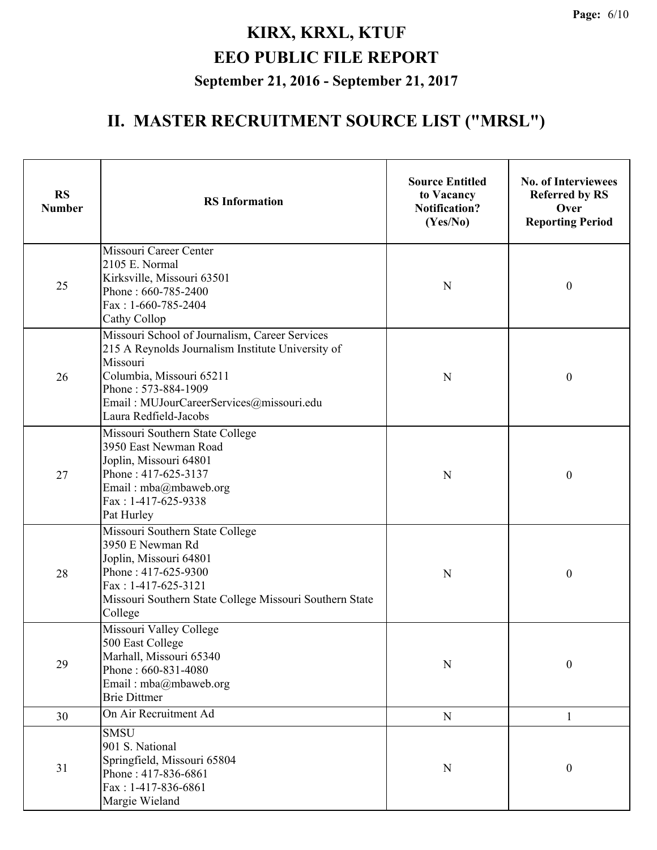| <b>RS</b><br><b>Number</b> | <b>RS</b> Information                                                                                                                                                                                                                   | <b>Source Entitled</b><br>to Vacancy<br><b>Notification?</b><br>(Yes/No) | <b>No. of Interviewees</b><br><b>Referred by RS</b><br>Over<br><b>Reporting Period</b> |
|----------------------------|-----------------------------------------------------------------------------------------------------------------------------------------------------------------------------------------------------------------------------------------|--------------------------------------------------------------------------|----------------------------------------------------------------------------------------|
| 25                         | Missouri Career Center<br>2105 E. Normal<br>Kirksville, Missouri 63501<br>Phone: 660-785-2400<br>Fax: 1-660-785-2404<br>Cathy Collop                                                                                                    | N                                                                        | $\boldsymbol{0}$                                                                       |
| 26                         | Missouri School of Journalism, Career Services<br>215 A Reynolds Journalism Institute University of<br>Missouri<br>Columbia, Missouri 65211<br>Phone: 573-884-1909<br>Email: MUJourCareerServices@missouri.edu<br>Laura Redfield-Jacobs | N                                                                        | $\boldsymbol{0}$                                                                       |
| 27                         | Missouri Southern State College<br>3950 East Newman Road<br>Joplin, Missouri 64801<br>Phone: 417-625-3137<br>Email: mba@mbaweb.org<br>Fax: 1-417-625-9338<br>Pat Hurley                                                                 | N                                                                        | $\boldsymbol{0}$                                                                       |
| 28                         | Missouri Southern State College<br>3950 E Newman Rd<br>Joplin, Missouri 64801<br>Phone: 417-625-9300<br>Fax: 1-417-625-3121<br>Missouri Southern State College Missouri Southern State<br>College                                       | N                                                                        | $\boldsymbol{0}$                                                                       |
| 29                         | Missouri Valley College<br>500 East College<br>Marhall, Missouri 65340<br>Phone: 660-831-4080<br>Email: mba@mbaweb.org<br><b>Brie Dittmer</b>                                                                                           | $\mathbf N$                                                              | $\boldsymbol{0}$                                                                       |
| 30                         | On Air Recruitment Ad                                                                                                                                                                                                                   | ${\bf N}$                                                                | 1                                                                                      |
| 31                         | <b>SMSU</b><br>901 S. National<br>Springfield, Missouri 65804<br>Phone: 417-836-6861<br>Fax: 1-417-836-6861<br>Margie Wieland                                                                                                           | ${\bf N}$                                                                | $\boldsymbol{0}$                                                                       |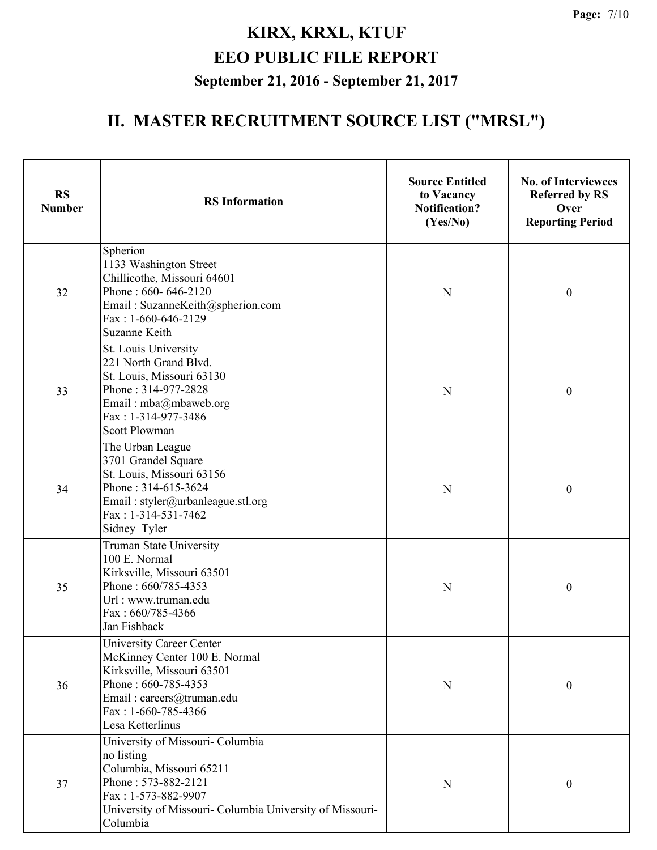| <b>RS</b><br><b>Number</b> | <b>RS</b> Information                                                                                                                                                                            | <b>Source Entitled</b><br>to Vacancy<br><b>Notification?</b><br>(Yes/No) | <b>No. of Interviewees</b><br><b>Referred by RS</b><br>Over<br><b>Reporting Period</b> |
|----------------------------|--------------------------------------------------------------------------------------------------------------------------------------------------------------------------------------------------|--------------------------------------------------------------------------|----------------------------------------------------------------------------------------|
| 32                         | Spherion<br>1133 Washington Street<br>Chillicothe, Missouri 64601<br>Phone: 660-646-2120<br>Email: SuzanneKeith@spherion.com<br>Fax: 1-660-646-2129<br>Suzanne Keith                             | N                                                                        | $\boldsymbol{0}$                                                                       |
| 33                         | St. Louis University<br>221 North Grand Blvd.<br>St. Louis, Missouri 63130<br>Phone: 314-977-2828<br>Email: mba@mbaweb.org<br>Fax: 1-314-977-3486<br><b>Scott Plowman</b>                        | $\mathbf N$                                                              | $\boldsymbol{0}$                                                                       |
| 34                         | The Urban League<br>3701 Grandel Square<br>St. Louis, Missouri 63156<br>Phone: 314-615-3624<br>Email: styler@urbanleague.stl.org<br>$Fax: 1-314-531-7462$<br>Sidney Tyler                        | N                                                                        | $\boldsymbol{0}$                                                                       |
| 35                         | Truman State University<br>100 E. Normal<br>Kirksville, Missouri 63501<br>Phone: 660/785-4353<br>Url: www.truman.edu<br>Fax: 660/785-4366<br>Jan Fishback                                        | N                                                                        | $\boldsymbol{0}$                                                                       |
| 36                         | University Career Center<br>McKinney Center 100 E. Normal<br>Kirksville, Missouri 63501<br>Phone: 660-785-4353<br>Email: careers@truman.edu<br>Fax: 1-660-785-4366<br>Lesa Ketterlinus           | N                                                                        | $\boldsymbol{0}$                                                                       |
| 37                         | University of Missouri- Columbia<br>no listing<br>Columbia, Missouri 65211<br>Phone: 573-882-2121<br>Fax: 1-573-882-9907<br>University of Missouri- Columbia University of Missouri-<br>Columbia | ${\bf N}$                                                                | $\boldsymbol{0}$                                                                       |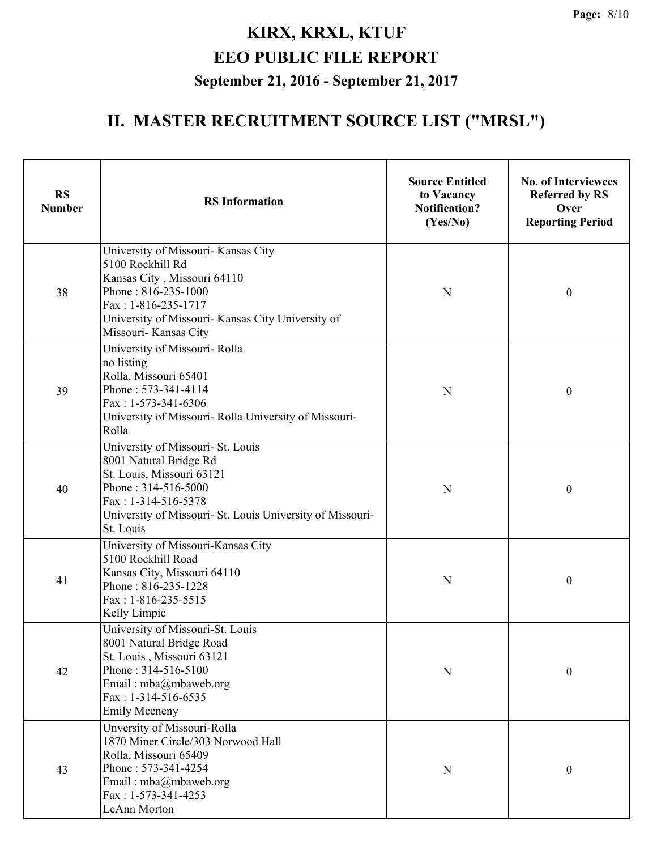| <b>RS</b><br><b>Number</b> | <b>RS</b> Information                                                                                                                                                                                              | <b>Source Entitled</b><br>to Vacancy<br><b>Notification?</b><br>(Yes/No) | <b>No. of Interviewees</b><br><b>Referred by RS</b><br>Over<br><b>Reporting Period</b> |
|----------------------------|--------------------------------------------------------------------------------------------------------------------------------------------------------------------------------------------------------------------|--------------------------------------------------------------------------|----------------------------------------------------------------------------------------|
| 38                         | University of Missouri- Kansas City<br>5100 Rockhill Rd<br>Kansas City, Missouri 64110<br>Phone: 816-235-1000<br>Fax: 1-816-235-1717<br>University of Missouri- Kansas City University of<br>Missouri- Kansas City | N                                                                        | $\boldsymbol{0}$                                                                       |
| 39                         | University of Missouri-Rolla<br>no listing<br>Rolla, Missouri 65401<br>Phone: 573-341-4114<br>Fax: 1-573-341-6306<br>University of Missouri- Rolla University of Missouri-<br>Rolla                                | N                                                                        | $\mathbf{0}$                                                                           |
| 40                         | University of Missouri- St. Louis<br>8001 Natural Bridge Rd<br>St. Louis, Missouri 63121<br>Phone: 314-516-5000<br>Fax: 1-314-516-5378<br>University of Missouri- St. Louis University of Missouri-<br>St. Louis   | N                                                                        | $\boldsymbol{0}$                                                                       |
| 41                         | University of Missouri-Kansas City<br>5100 Rockhill Road<br>Kansas City, Missouri 64110<br>Phone: 816-235-1228<br>Fax: 1-816-235-5515<br>Kelly Limpic                                                              | N                                                                        | $\boldsymbol{0}$                                                                       |
| 42                         | University of Missouri-St. Louis<br>8001 Natural Bridge Road<br>St. Louis, Missouri 63121<br>Phone: 314-516-5100<br>Email: mba@mbaweb.org<br>Fax: $1-314-516-6535$<br><b>Emily Mceneny</b>                         | N                                                                        | $\boldsymbol{0}$                                                                       |
| 43                         | Unversity of Missouri-Rolla<br>1870 Miner Circle/303 Norwood Hall<br>Rolla, Missouri 65409<br>Phone: 573-341-4254<br>Email: mba@mbaweb.org<br>$Fax: 1-573-341-4253$<br>LeAnn Morton                                | N                                                                        | $\boldsymbol{0}$                                                                       |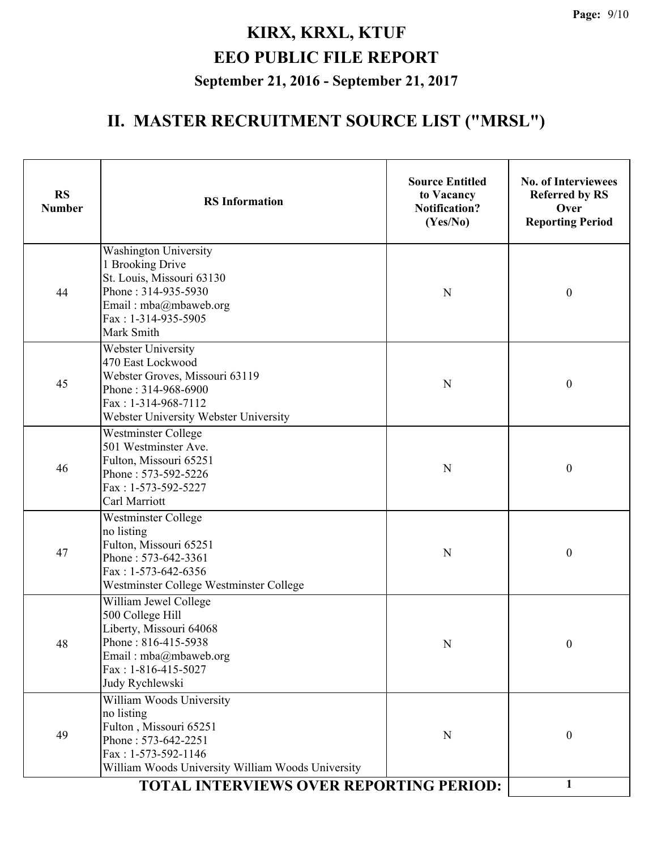| <b>RS</b><br><b>Number</b> | <b>RS</b> Information                                                                                                                                                                                          | <b>Source Entitled</b><br>to Vacancy<br><b>Notification?</b><br>(Yes/No) | <b>No. of Interviewees</b><br><b>Referred by RS</b><br>Over<br><b>Reporting Period</b> |
|----------------------------|----------------------------------------------------------------------------------------------------------------------------------------------------------------------------------------------------------------|--------------------------------------------------------------------------|----------------------------------------------------------------------------------------|
| 44                         | <b>Washington University</b><br>1 Brooking Drive<br>St. Louis, Missouri 63130<br>Phone: 314-935-5930<br>Email: mba@mbaweb.org<br>Fax: 1-314-935-5905<br>Mark Smith                                             | $\mathbf N$                                                              | $\boldsymbol{0}$                                                                       |
| 45                         | <b>Webster University</b><br>470 East Lockwood<br>Webster Groves, Missouri 63119<br>Phone: 314-968-6900<br>Fax: 1-314-968-7112<br>Webster University Webster University                                        | $\boldsymbol{0}$                                                         |                                                                                        |
| 46                         | <b>Westminster College</b><br>501 Westminster Ave.<br>Fulton, Missouri 65251<br>Phone: 573-592-5226<br>Fax: 1-573-592-5227<br>Carl Marriott                                                                    | $\mathbf N$                                                              | $\boldsymbol{0}$                                                                       |
| 47                         | Westminster College<br>no listing<br>Fulton, Missouri 65251<br>Phone: 573-642-3361<br>Fax: 1-573-642-6356<br>Westminster College Westminster College                                                           | N                                                                        | $\boldsymbol{0}$                                                                       |
| 48                         | William Jewel College<br>500 College Hill<br>Liberty, Missouri 64068<br>Phone: 816-415-5938<br>Email: mba@mbaweb.org<br>Fax: $1-816-415-5027$<br>Judy Rychlewski                                               | N                                                                        | $\boldsymbol{0}$                                                                       |
| 49                         | William Woods University<br>no listing<br>Fulton, Missouri 65251<br>Phone: 573-642-2251<br>Fax: 1-573-592-1146<br>William Woods University William Woods University<br>TOTAL INTERVIEWS OVER REPORTING PERIOD: | N                                                                        | $\boldsymbol{0}$<br>1                                                                  |